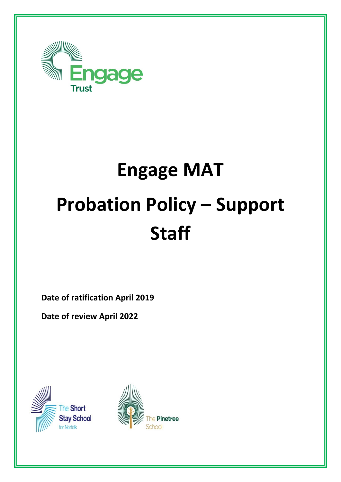

# **Engage MAT Probation Policy – Support Staff**

**Date of ratification April 2019**

**Date of review April 2022**



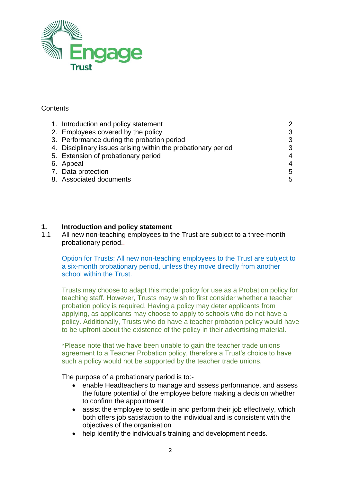

### **Contents**

| 1. Introduction and policy statement                          | $\overline{2}$ |
|---------------------------------------------------------------|----------------|
| 2. Employees covered by the policy                            | 3              |
| 3. Performance during the probation period                    | 3              |
| 4. Disciplinary issues arising within the probationary period | 3              |
| 5. Extension of probationary period                           | 4              |
| 6. Appeal                                                     | 4              |
| 7. Data protection                                            | 5              |
| 8. Associated documents                                       | 5              |
|                                                               |                |

## **1. Introduction and policy statement**

1.1 All new non-teaching employees to the Trust are subject to a three-month probationary period..

Option for Trusts: All new non-teaching employees to the Trust are subject to a six-month probationary period, unless they move directly from another school within the Trust.

Trusts may choose to adapt this model policy for use as a Probation policy for teaching staff. However, Trusts may wish to first consider whether a teacher probation policy is required. Having a policy may deter applicants from applying, as applicants may choose to apply to schools who do not have a policy. Additionally, Trusts who do have a teacher probation policy would have to be upfront about the existence of the policy in their advertising material.

\*Please note that we have been unable to gain the teacher trade unions agreement to a Teacher Probation policy, therefore a Trust's choice to have such a policy would not be supported by the teacher trade unions.

The purpose of a probationary period is to:-

- enable Headteachers to manage and assess performance, and assess the future potential of the employee before making a decision whether to confirm the appointment
- assist the employee to settle in and perform their job effectively, which both offers job satisfaction to the individual and is consistent with the objectives of the organisation
- help identify the individual's training and development needs.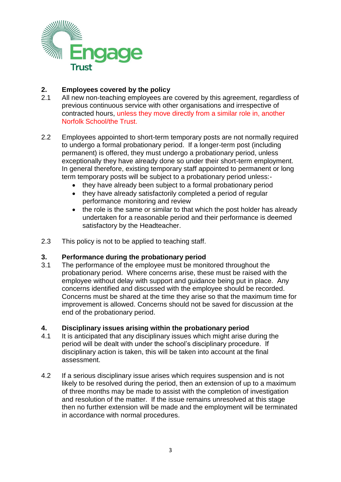

## **2. Employees covered by the policy**

- 2.1 All new non-teaching employees are covered by this agreement, regardless of previous continuous service with other organisations and irrespective of contracted hours, unless they move directly from a similar role in, another Norfolk School/the Trust.
- 2.2 Employees appointed to short-term temporary posts are not normally required to undergo a formal probationary period. If a longer-term post (including permanent) is offered, they must undergo a probationary period, unless exceptionally they have already done so under their short-term employment. In general therefore, existing temporary staff appointed to permanent or long term temporary posts will be subject to a probationary period unless:-
	- they have already been subject to a formal probationary period
	- they have already satisfactorily completed a period of regular performance monitoring and review
	- the role is the same or similar to that which the post holder has already undertaken for a reasonable period and their performance is deemed satisfactory by the Headteacher.
- 2.3 This policy is not to be applied to teaching staff.

### **3. Performance during the probationary period**

3.1 The performance of the employee must be monitored throughout the probationary period. Where concerns arise, these must be raised with the employee without delay with support and guidance being put in place. Any concerns identified and discussed with the employee should be recorded. Concerns must be shared at the time they arise so that the maximum time for improvement is allowed. Concerns should not be saved for discussion at the end of the probationary period.

### **4. Disciplinary issues arising within the probationary period**

- 4.1 It is anticipated that any disciplinary issues which might arise during the period will be dealt with under the school's disciplinary procedure. If disciplinary action is taken, this will be taken into account at the final assessment.
- 4.2 If a serious disciplinary issue arises which requires suspension and is not likely to be resolved during the period, then an extension of up to a maximum of three months may be made to assist with the completion of investigation and resolution of the matter. If the issue remains unresolved at this stage then no further extension will be made and the employment will be terminated in accordance with normal procedures.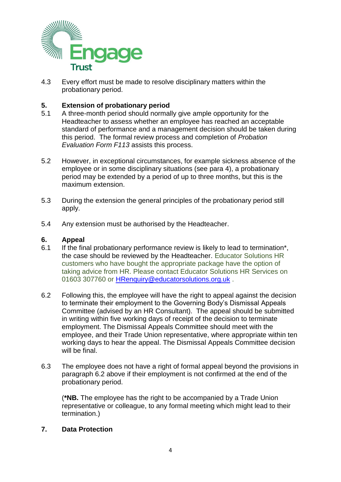

4.3 Every effort must be made to resolve disciplinary matters within the probationary period.

## **5. Extension of probationary period**

- 5.1 A three-month period should normally give ample opportunity for the Headteacher to assess whether an employee has reached an acceptable standard of performance and a management decision should be taken during this period. The formal review process and completion of *Probation Evaluation Form F113* assists this process.
- 5.2 However, in exceptional circumstances, for example sickness absence of the employee or in some disciplinary situations (see para 4), a probationary period may be extended by a period of up to three months, but this is the maximum extension.
- 5.3 During the extension the general principles of the probationary period still apply.
- 5.4 Any extension must be authorised by the Headteacher.

#### **6. Appeal**

- 6.1 If the final probationary performance review is likely to lead to termination\*, the case should be reviewed by the Headteacher. Educator Solutions HR customers who have bought the appropriate package have the option of taking advice from HR. Please contact Educator Solutions HR Services on 01603 307760 or [HRenquiry@educatorsolutions.org.uk](mailto:HRenquiry@educatorsolutions.org.uk).
- 6.2 Following this, the employee will have the right to appeal against the decision to terminate their employment to the Governing Body's Dismissal Appeals Committee (advised by an HR Consultant). The appeal should be submitted in writing within five working days of receipt of the decision to terminate employment. The Dismissal Appeals Committee should meet with the employee, and their Trade Union representative, where appropriate within ten working days to hear the appeal. The Dismissal Appeals Committee decision will be final.
- 6.3 The employee does not have a right of formal appeal beyond the provisions in paragraph 6.2 above if their employment is not confirmed at the end of the probationary period.

(**\*NB.** The employee has the right to be accompanied by a Trade Union representative or colleague, to any formal meeting which might lead to their termination.)

#### **7. Data Protection**